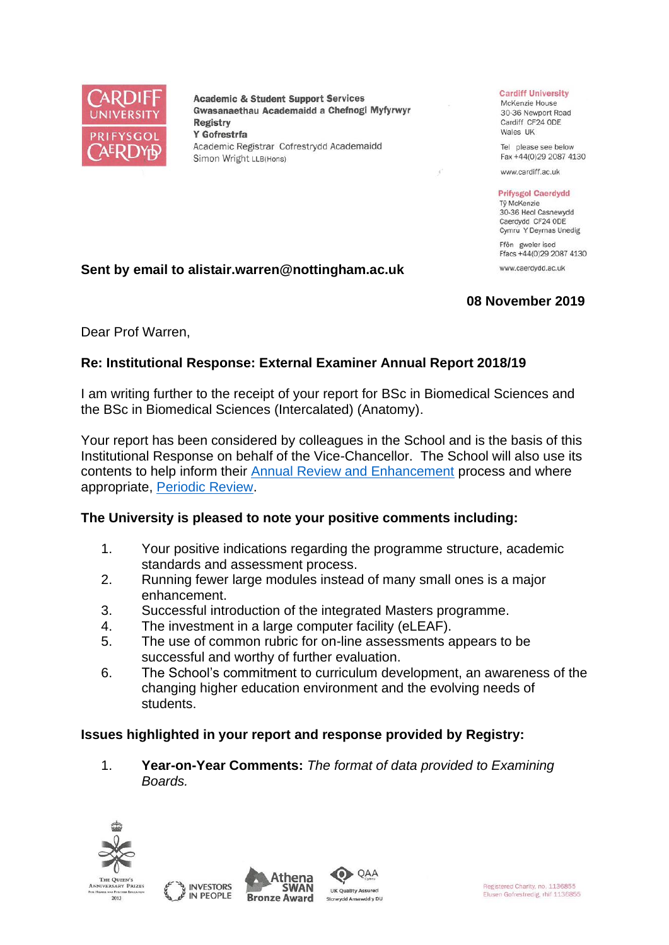

**Academic & Student Support Services** Gwasanaethau Academaidd a Chefnogi Myfyrwyr **Registry** Y Gofrestrfa Academic Registrar Cofrestrydd Academaidd Simon Wright LLB(Hons)

### **Cardiff University**

McKenzie House 30-36 Newport Road Cardiff CF24 ODE Wales UK

Tel please see below Fax +44(0)29 2087 4130

www.cardiff.ac.uk

### **Prifysgol Caerdydd**

Tỷ McKenzie 30-36 Heol Casnewydd Caerdydd CF24 ODE Cymru Y Deyrnas Unedig Ffôn gweler isod

Ffacs +44(0)29 2087 4130 www.caerdydd.ac.uk

# **08 November 2019**

Dear Prof Warren,

# **Re: Institutional Response: External Examiner Annual Report 2018/19**

**Sent by email to alistair.warren@nottingham.ac.uk**

I am writing further to the receipt of your report for BSc in Biomedical Sciences and the BSc in Biomedical Sciences (Intercalated) (Anatomy).

Your report has been considered by colleagues in the School and is the basis of this Institutional Response on behalf of the Vice-Chancellor. The School will also use its contents to help inform their [Annual Review and Enhancement](https://www.cardiff.ac.uk/public-information/quality-and-standards/monitoring-and-review/annual-review-and-enhancement) process and where appropriate, [Periodic Review.](http://www.cardiff.ac.uk/public-information/quality-and-standards/monitoring-and-review/periodic-review)

# **The University is pleased to note your positive comments including:**

- 1. Your positive indications regarding the programme structure, academic standards and assessment process.
- 2. Running fewer large modules instead of many small ones is a major enhancement.
- 3. Successful introduction of the integrated Masters programme.
- 4. The investment in a large computer facility (eLEAF).
- 5. The use of common rubric for on-line assessments appears to be successful and worthy of further evaluation.
- 6. The School's commitment to curriculum development, an awareness of the changing higher education environment and the evolving needs of students.

# **Issues highlighted in your report and response provided by Registry:**

1. **Year-on-Year Comments:** *The format of data provided to Examining Boards.*

QAA